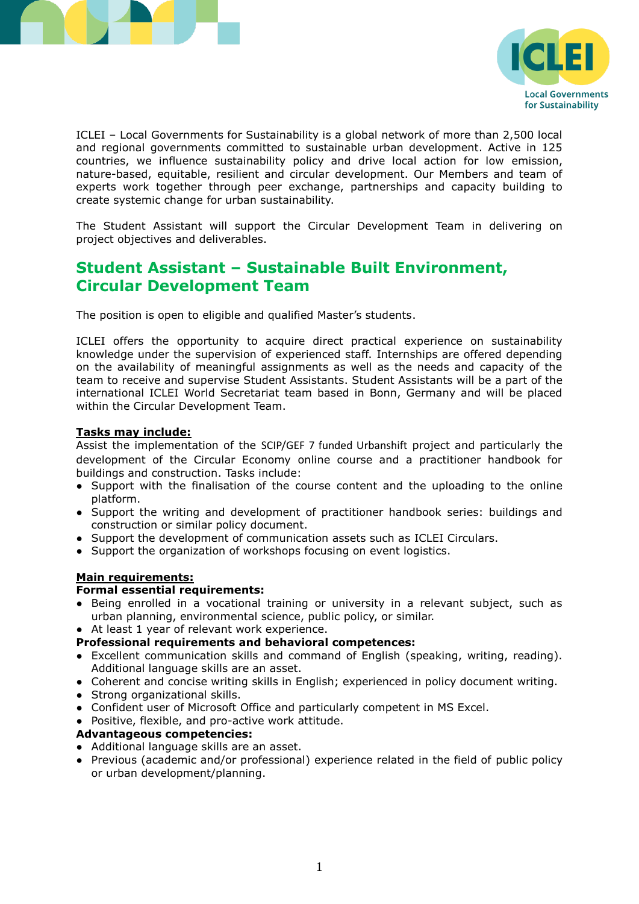



ICLEI – Local Governments for Sustainability is a global network of more than 2,500 local and regional governments committed to sustainable urban development. Active in 125 countries, we influence sustainability policy and drive local action for low emission, nature-based, equitable, resilient and circular development. Our Members and team of experts work together through peer exchange, partnerships and capacity building to create systemic change for urban sustainability.

The Student Assistant will support the Circular Development Team in delivering on project objectives and deliverables.

## **Student Assistant – Sustainable Built Environment, Circular Development Team**

The position is open to eligible and qualified Master's students.

ICLEI offers the opportunity to acquire direct practical experience on sustainability knowledge under the supervision of experienced staff. Internships are offered depending on the availability of meaningful assignments as well as the needs and capacity of the team to receive and supervise Student Assistants. Student Assistants will be a part of the international ICLEI World Secretariat team based in Bonn, Germany and will be placed within the Circular Development Team.

#### **Tasks may include:**

Assist the implementation of the SCIP/GEF 7 funded Urbanshift project and particularly the development of the Circular Economy online course and a practitioner handbook for buildings and construction. Tasks include:

- Support with the finalisation of the course content and the uploading to the online platform.
- Support the writing and development of practitioner handbook series: buildings and construction or similar policy document.
- Support the development of communication assets such as ICLEI Circulars.
- Support the organization of workshops focusing on event logistics.

#### **Main requirements:**

#### **Formal essential requirements:**

- Being enrolled in a vocational training or university in a relevant subject, such as urban planning, environmental science, public policy, or similar.
- At least 1 year of relevant work experience.

#### **Professional requirements and behavioral competences:**

- Excellent communication skills and command of English (speaking, writing, reading). Additional language skills are an asset.
- Coherent and concise writing skills in English; experienced in policy document writing.
- Strong organizational skills.
- Confident user of Microsoft Office and particularly competent in MS Excel.
- Positive, flexible, and pro-active work attitude.

#### **Advantageous competencies:**

- Additional language skills are an asset.
- Previous (academic and/or professional) experience related in the field of public policy or urban development/planning.